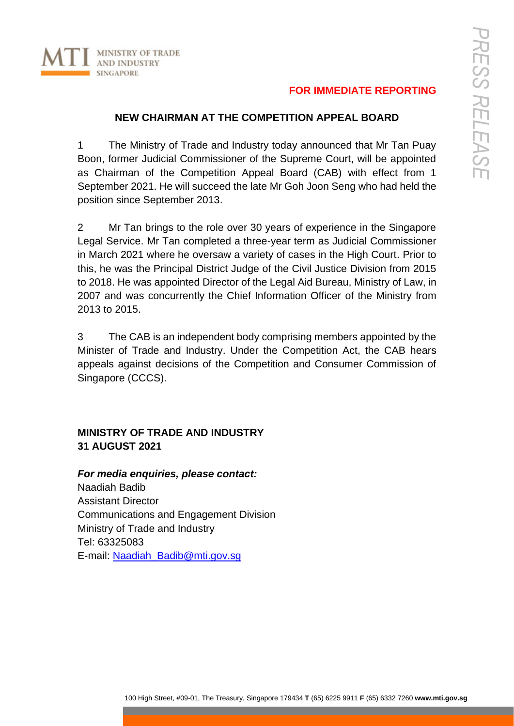# **FOR IMMEDIATE REPORTING**

### **NEW CHAIRMAN AT THE COMPETITION APPEAL BOARD**

1 The Ministry of Trade and Industry today announced that Mr Tan Puay Boon, former Judicial Commissioner of the Supreme Court, will be appointed as Chairman of the Competition Appeal Board (CAB) with effect from 1 September 2021. He will succeed the late Mr Goh Joon Seng who had held the position since September 2013.

2 Mr Tan brings to the role over 30 years of experience in the Singapore Legal Service. Mr Tan completed a three-year term as Judicial Commissioner in March 2021 where he oversaw a variety of cases in the High Court. Prior to this, he was the Principal District Judge of the Civil Justice Division from 2015 to 2018. He was appointed Director of the Legal Aid Bureau, Ministry of Law, in 2007 and was concurrently the Chief Information Officer of the Ministry from 2013 to 2015.

3 The CAB is an independent body comprising members appointed by the Minister of Trade and Industry. Under the Competition Act, the CAB hears appeals against decisions of the Competition and Consumer Commission of Singapore (CCCS).

# **MINISTRY OF TRADE AND INDUSTRY 31 AUGUST 2021**

*For media enquiries, please contact:* Naadiah Badib Assistant Director Communications and Engagement Division Ministry of Trade and Industry Tel: 63325083 E-mail: [Naadiah\\_Badib@mti.gov.sg](mailto:Naadiah_Badib@mti.gov.sg)